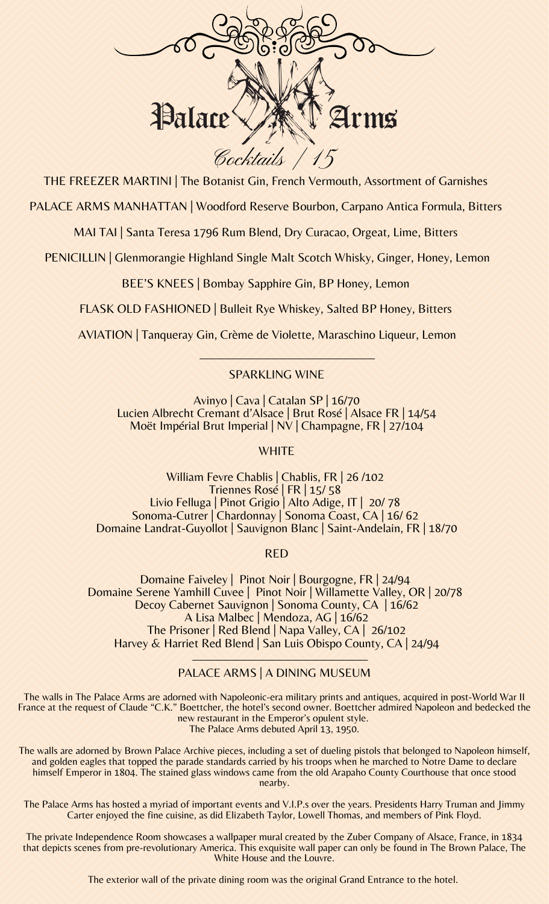

THE FREEZER MARTINI | The Botanist Gin, French Vermouth, Assortment of Garnishes

PALACE ARMS MANHATTAN | Woodford Reserve Bourbon, Carpano Antica Formula, Bitters

MAI TAI | Santa Teresa 1796 Rum Blend, Dry Curacao, Orgeat, Lime, Bitters

PENICILLIN | Glenmorangie Highland Single Malt Scotch Whisky, Ginger, Honey, Lemon

BEE'S KNEES | Bombay Sapphire Gin, BP Honey, Lemon

FLASK OLD FASHIONED | Bulleit Rye Whiskey, Salted BP Honey, Bitters

AVIATION | Tanqueray Gin, Crème de Violette, Maraschino Liqueur, Lemon

## SPARKLING WINE

Avinyo | Cava | Catalan SP | 16/70 Lucien Albrecht Cremant d'Alsace | Brut Rosé | Alsace FR | 14/54 Moët Impérial Brut Imperial | NV | Champagne, FR | 27/104

**WHITE** 

William Fevre Chablis | Chablis, FR | 26 /102 Triennes Rosé | FR | 15/ 58 Livio Felluga | Pinot Grigio | Alto Adige, IT | 20/ 78 Sonoma-Cutrer | Chardonnay | Sonoma Coast, CA | 16/ 62 Domaine Landrat-Guyollot | Sauvignon Blanc | Saint-Andelain, FR | 18/70

RED

Domaine Faiveley | Pinot Noir | Bourgogne, FR | 24/94 Domaine Serene Yamhill Cuvee | Pinot Noir | Willamette Valley, OR | 20/78 Decoy Cabernet Sauvignon | Sonoma County, CA | 16/62 A Lisa Malbec | Mendoza, AG | 16/62 The Prisoner | Red Blend | Napa Valley, CA | 26/102 Harvey & Harriet Red Blend | San Luis Obispo County, CA | 24/94

## PALACE ARMS | A DINING MUSEUM

The walls in The Palace Arms are adorned with Napoleonic-era military prints and antiques, acquired in post-World War II France at the request of Claude "C.K." Boettcher, the hotel's second owner. Boettcher admired Napoleon and bedecked the new restaurant in the Emperor's opulent style. The Palace Arms debuted April 13, 1950.

The walls are adorned by Brown Palace Archive pieces, including a set of dueling pistols that belonged to Napoleon himself, and golden eagles that topped the parade standards carried by his troops when he marched to Notre Dame to declare himself Emperor in 1804. The stained glass windows came from the old Arapaho County Courthouse that once stood nearby.

The Palace Arms has hosted a myriad of important events and V.I.P.s over the years. Presidents Harry Truman and Jimmy Carter enjoyed the fine cuisine, as did Elizabeth Taylor, Lowell Thomas, and members of Pink Floyd.

The private Independence Room showcases a wallpaper mural created by the Zuber Company of Alsace, France, in 1834 that depicts scenes from pre-revolutionary America. This exquisite wall paper can only be found in The Brown Palace, The White House and the Louvre.

The exterior wall of the private dining room was the original Grand Entrance to the hotel.